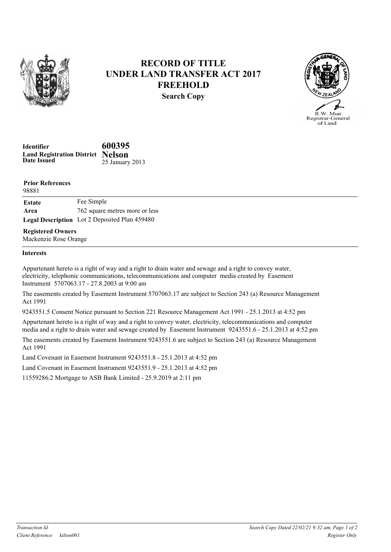

## RECORD OF TITLE UNDER LAND TRANSFER ACT 2017 **FREEHOLD** Search Copy



| Identifier                               | 600395          |
|------------------------------------------|-----------------|
| <b>Land Registration District Nelson</b> |                 |
| <b>Date Issued</b>                       | 25 January 2013 |

| <b>Prior References</b><br>98881 |                                               |
|----------------------------------|-----------------------------------------------|
| Estate                           | Fee Simple                                    |
| Area                             | 762 square metres more or less                |
|                                  | Legal Description Lot 2 Deposited Plan 459480 |
| <b>Registered Owners</b>         |                                               |

Mackenzie Rose Orange

## Interests

Appurtenant hereto is a right of way and a right to drain water and sewage and a right to convey water, electricity, telephonic communications, telecommunications and computer media created by Easement Instrument 5707063.17 - 27.8.2003 at 9:00 am

The easements created by Easement Instrument 5707063.17 are subject to Section 243 (a) Resource Management Act 1991

9243551.5 Consent Notice pursuant to Section 221 Resource Management Act 1991 - 25.1.2013 at 4:52 pm

Appurtenant hereto is a right of way and a right to convey water, electricity, telecommunications and computer media and a right to drain water and sewage created by Easement Instrument 9243551.6 - 25.1.2013 at 4:52 pm

The easements created by Easement Instrument 9243551.6 are subject to Section 243 (a) Resource Management Act 1991

Land Covenant in Easement Instrument 9243551.8 - 25.1.2013 at 4:52 pm

Land Covenant in Easement Instrument 9243551.9 - 25.1.2013 at 4:52 pm

11559286.2 Mortgage to ASB Bank Limited - 25.9.2019 at 2:11 pm